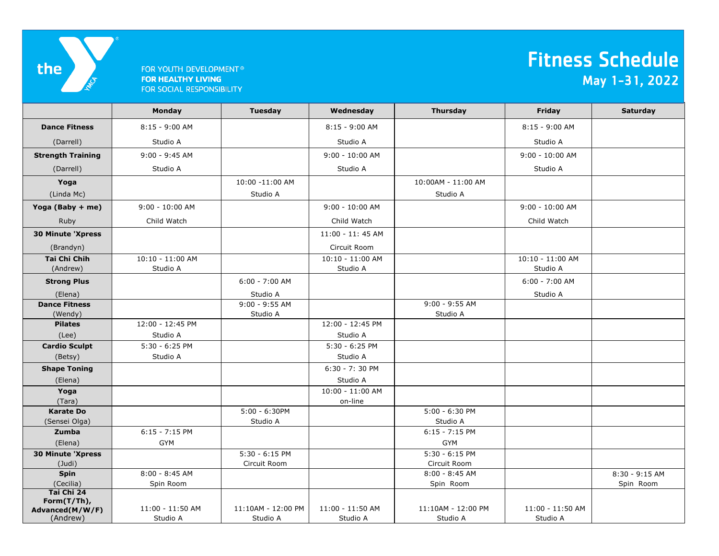

## FOR YOUTH DEVELOPMENT<sup>®</sup> **FOR HEALTHY LIVING** FOR SOCIAL RESPONSIBILITY

## Fitness Schedule May 1-31, 2022

|                                                          | Monday                       | <b>Tuesday</b>                 | Wednesday                    | <b>Thursday</b>                | Friday                       | Saturday       |
|----------------------------------------------------------|------------------------------|--------------------------------|------------------------------|--------------------------------|------------------------------|----------------|
| <b>Dance Fitness</b>                                     | $8:15 - 9:00$ AM             |                                | 8:15 - 9:00 AM               |                                | 8:15 - 9:00 AM               |                |
| (Darrell)                                                | Studio A                     |                                | Studio A                     |                                | Studio A                     |                |
| <b>Strength Training</b>                                 | $9:00 - 9:45$ AM             |                                | $9:00 - 10:00$ AM            |                                | $9:00 - 10:00$ AM            |                |
| (Darrell)                                                | Studio A                     |                                | Studio A                     |                                | Studio A                     |                |
| Yoga                                                     |                              | 10:00 -11:00 AM                |                              | 10:00AM - 11:00 AM             |                              |                |
| (Linda Mc)                                               |                              | Studio A                       |                              | Studio A                       |                              |                |
| Yoga (Baby + me)                                         | $9:00 - 10:00$ AM            |                                | $9:00 - 10:00$ AM            |                                | $9:00 - 10:00$ AM            |                |
| Ruby                                                     | Child Watch                  |                                | Child Watch                  |                                | Child Watch                  |                |
| <b>30 Minute 'Xpress</b>                                 |                              |                                | 11:00 - 11:45 AM             |                                |                              |                |
| (Brandyn)                                                |                              |                                | Circuit Room                 |                                |                              |                |
| <b>Tai Chi Chih</b>                                      | 10:10 - 11:00 AM             |                                | 10:10 - 11:00 AM             |                                | 10:10 - 11:00 AM             |                |
| (Andrew)                                                 | Studio A                     |                                | Studio A                     |                                | Studio A                     |                |
| <b>Strong Plus</b>                                       |                              | $6:00 - 7:00$ AM               |                              |                                | 6:00 - 7:00 AM               |                |
| (Elena)                                                  |                              | Studio A                       |                              |                                | Studio A                     |                |
| <b>Dance Fitness</b>                                     |                              | $9:00 - 9:55$ AM               |                              | $9:00 - 9:55$ AM               |                              |                |
| (Wendy)                                                  |                              | Studio A                       |                              | Studio A                       |                              |                |
| <b>Pilates</b>                                           | 12:00 - 12:45 PM             |                                | 12:00 - 12:45 PM             |                                |                              |                |
| (Lee)                                                    | Studio A                     |                                | Studio A                     |                                |                              |                |
| <b>Cardio Sculpt</b>                                     | $5:30 - 6:25$ PM             |                                | $5:30 - 6:25$ PM             |                                |                              |                |
| (Betsy)                                                  | Studio A                     |                                | Studio A                     |                                |                              |                |
| <b>Shape Toning</b>                                      |                              |                                | $6:30 - 7:30$ PM             |                                |                              |                |
| (Elena)                                                  |                              |                                | Studio A                     |                                |                              |                |
| Yoga                                                     |                              |                                | 10:00 - 11:00 AM             |                                |                              |                |
| (Tara)                                                   |                              |                                | on-line                      |                                |                              |                |
| <b>Karate Do</b>                                         |                              | $5:00 - 6:30$ PM               |                              | $5:00 - 6:30$ PM               |                              |                |
| (Sensei Olga)                                            |                              | Studio A                       |                              | Studio A                       |                              |                |
| Zumba                                                    | $6:15 - 7:15$ PM             |                                |                              | $6:15 - 7:15$ PM               |                              |                |
| (Elena)                                                  | <b>GYM</b>                   |                                |                              | <b>GYM</b>                     |                              |                |
| <b>30 Minute 'Xpress</b>                                 |                              | $5:30 - 6:15$ PM               |                              | $5:30 - 6:15$ PM               |                              |                |
| $($ Judi $)$                                             |                              | Circuit Room                   |                              | Circuit Room                   |                              |                |
| <b>Spin</b>                                              | $8:00 - 8:45$ AM             |                                |                              | $8:00 - 8:45$ AM               |                              | 8:30 - 9:15 AM |
| (Cecilia)                                                | Spin Room                    |                                |                              | Spin Room                      |                              | Spin Room      |
| Tai Chi 24<br>Form(T/Th),<br>Advanced(M/W/F)<br>(Andrew) | 11:00 - 11:50 AM<br>Studio A | 11:10AM - 12:00 PM<br>Studio A | 11:00 - 11:50 AM<br>Studio A | 11:10AM - 12:00 PM<br>Studio A | 11:00 - 11:50 AM<br>Studio A |                |